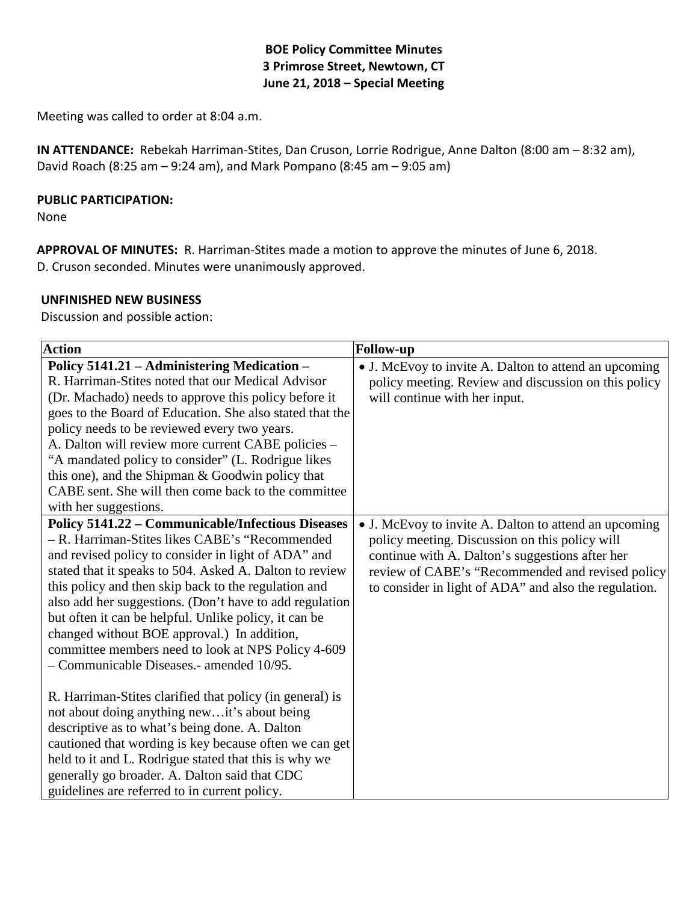## **BOE Policy Committee Minutes 3 Primrose Street, Newtown, CT June 21, 2018 – Special Meeting**

Meeting was called to order at 8:04 a.m.

**IN ATTENDANCE:** Rebekah Harriman-Stites, Dan Cruson, Lorrie Rodrigue, Anne Dalton (8:00 am – 8:32 am), David Roach (8:25 am – 9:24 am), and Mark Pompano (8:45 am – 9:05 am)

#### **PUBLIC PARTICIPATION:**

None

**APPROVAL OF MINUTES:** R. Harriman-Stites made a motion to approve the minutes of June 6, 2018. D. Cruson seconded. Minutes were unanimously approved.

#### **UNFINISHED NEW BUSINESS**

Discussion and possible action:

| <b>Action</b>                                                                                                                                                                                                                                                                                                                                                                                                                                                                                                                                             | <b>Follow-up</b>                                                                                                                                                                                                                                                        |
|-----------------------------------------------------------------------------------------------------------------------------------------------------------------------------------------------------------------------------------------------------------------------------------------------------------------------------------------------------------------------------------------------------------------------------------------------------------------------------------------------------------------------------------------------------------|-------------------------------------------------------------------------------------------------------------------------------------------------------------------------------------------------------------------------------------------------------------------------|
| Policy 5141.21 - Administering Medication -<br>R. Harriman-Stites noted that our Medical Advisor<br>(Dr. Machado) needs to approve this policy before it<br>goes to the Board of Education. She also stated that the<br>policy needs to be reviewed every two years.<br>A. Dalton will review more current CABE policies –<br>"A mandated policy to consider" (L. Rodrigue likes<br>this one), and the Shipman & Goodwin policy that<br>CABE sent. She will then come back to the committee<br>with her suggestions.                                      | • J. McEvoy to invite A. Dalton to attend an upcoming<br>policy meeting. Review and discussion on this policy<br>will continue with her input.                                                                                                                          |
| <b>Policy 5141.22 - Communicable/Infectious Diseases</b><br>- R. Harriman-Stites likes CABE's "Recommended<br>and revised policy to consider in light of ADA" and<br>stated that it speaks to 504. Asked A. Dalton to review<br>this policy and then skip back to the regulation and<br>also add her suggestions. (Don't have to add regulation<br>but often it can be helpful. Unlike policy, it can be<br>changed without BOE approval.) In addition,<br>committee members need to look at NPS Policy 4-609<br>- Communicable Diseases.- amended 10/95. | • J. McEvoy to invite A. Dalton to attend an upcoming<br>policy meeting. Discussion on this policy will<br>continue with A. Dalton's suggestions after her<br>review of CABE's "Recommended and revised policy<br>to consider in light of ADA" and also the regulation. |
| R. Harriman-Stites clarified that policy (in general) is<br>not about doing anything newit's about being<br>descriptive as to what's being done. A. Dalton<br>cautioned that wording is key because often we can get<br>held to it and L. Rodrigue stated that this is why we<br>generally go broader. A. Dalton said that CDC<br>guidelines are referred to in current policy.                                                                                                                                                                           |                                                                                                                                                                                                                                                                         |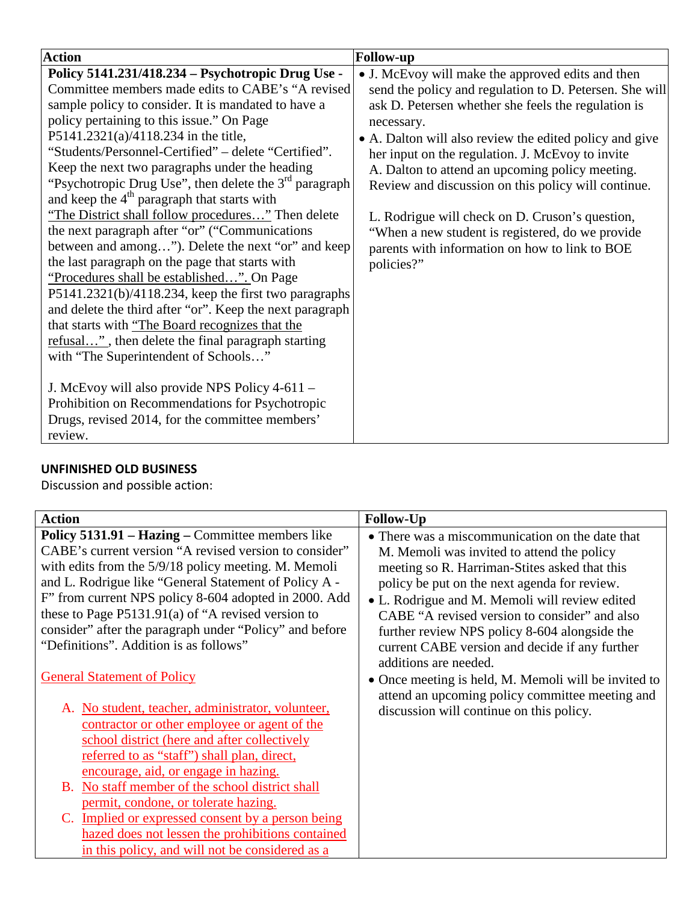| <b>Action</b>                                                                                                                                                                                                                                                                                                                                                                                                                                                                                                                                                                                                                                                                                                                                                                                                                                                                                                                                                                                                                                                                                                                                                                                              | <b>Follow-up</b>                                                                                                                                                                                                                                                                                                                                                                                                                                                                                                                                                                  |
|------------------------------------------------------------------------------------------------------------------------------------------------------------------------------------------------------------------------------------------------------------------------------------------------------------------------------------------------------------------------------------------------------------------------------------------------------------------------------------------------------------------------------------------------------------------------------------------------------------------------------------------------------------------------------------------------------------------------------------------------------------------------------------------------------------------------------------------------------------------------------------------------------------------------------------------------------------------------------------------------------------------------------------------------------------------------------------------------------------------------------------------------------------------------------------------------------------|-----------------------------------------------------------------------------------------------------------------------------------------------------------------------------------------------------------------------------------------------------------------------------------------------------------------------------------------------------------------------------------------------------------------------------------------------------------------------------------------------------------------------------------------------------------------------------------|
| Policy 5141.231/418.234 - Psychotropic Drug Use -<br>Committee members made edits to CABE's "A revised<br>sample policy to consider. It is mandated to have a<br>policy pertaining to this issue." On Page<br>P5141.2321(a)/4118.234 in the title,<br>"Students/Personnel-Certified" – delete "Certified".<br>Keep the next two paragraphs under the heading<br>"Psychotropic Drug Use", then delete the 3 <sup>rd</sup> paragraph<br>and keep the 4 <sup>th</sup> paragraph that starts with<br>"The District shall follow procedures" Then delete<br>the next paragraph after "or" ("Communications")<br>between and among"). Delete the next "or" and keep<br>the last paragraph on the page that starts with<br>"Procedures shall be established". On Page<br>$P5141.2321(b)/4118.234$ , keep the first two paragraphs<br>and delete the third after "or". Keep the next paragraph<br>that starts with "The Board recognizes that the<br>refusal", then delete the final paragraph starting<br>with "The Superintendent of Schools"<br>J. McEvoy will also provide NPS Policy 4-611 -<br>Prohibition on Recommendations for Psychotropic<br>Drugs, revised 2014, for the committee members'<br>review. | • J. McEvoy will make the approved edits and then<br>send the policy and regulation to D. Petersen. She will<br>ask D. Petersen whether she feels the regulation is<br>necessary.<br>• A. Dalton will also review the edited policy and give<br>her input on the regulation. J. McEvoy to invite<br>A. Dalton to attend an upcoming policy meeting.<br>Review and discussion on this policy will continue.<br>L. Rodrigue will check on D. Cruson's question,<br>"When a new student is registered, do we provide<br>parents with information on how to link to BOE<br>policies?" |

# **UNFINISHED OLD BUSINESS**

Discussion and possible action:

| <b>Action</b>                                                                                                                                                                                                                                                                                                                                                                                                                                     | <b>Follow-Up</b>                                                                                                                                                                                                                                                                                                                                                                                                              |
|---------------------------------------------------------------------------------------------------------------------------------------------------------------------------------------------------------------------------------------------------------------------------------------------------------------------------------------------------------------------------------------------------------------------------------------------------|-------------------------------------------------------------------------------------------------------------------------------------------------------------------------------------------------------------------------------------------------------------------------------------------------------------------------------------------------------------------------------------------------------------------------------|
| Policy 5131.91 - Hazing - Committee members like<br>CABE's current version "A revised version to consider"<br>with edits from the 5/9/18 policy meeting. M. Memoli<br>and L. Rodrigue like "General Statement of Policy A -<br>F" from current NPS policy 8-604 adopted in 2000. Add<br>these to Page $P5131.91(a)$ of "A revised version to<br>consider" after the paragraph under "Policy" and before<br>"Definitions". Addition is as follows" | • There was a miscommunication on the date that<br>M. Memoli was invited to attend the policy<br>meeting so R. Harriman-Stites asked that this<br>policy be put on the next agenda for review.<br>• L. Rodrigue and M. Memoli will review edited<br>CABE "A revised version to consider" and also<br>further review NPS policy 8-604 alongside the<br>current CABE version and decide if any further<br>additions are needed. |
| <b>General Statement of Policy</b><br>A. No student, teacher, administrator, volunteer,<br>contractor or other employee or agent of the<br>school district (here and after collectively<br>referred to as "staff") shall plan, direct,<br>encourage, aid, or engage in hazing.                                                                                                                                                                    | • Once meeting is held, M. Memoli will be invited to<br>attend an upcoming policy committee meeting and<br>discussion will continue on this policy.                                                                                                                                                                                                                                                                           |
| B. No staff member of the school district shall<br>permit, condone, or tolerate hazing.<br>C. Implied or expressed consent by a person being<br>hazed does not lessen the prohibitions contained<br>in this policy, and will not be considered as a                                                                                                                                                                                               |                                                                                                                                                                                                                                                                                                                                                                                                                               |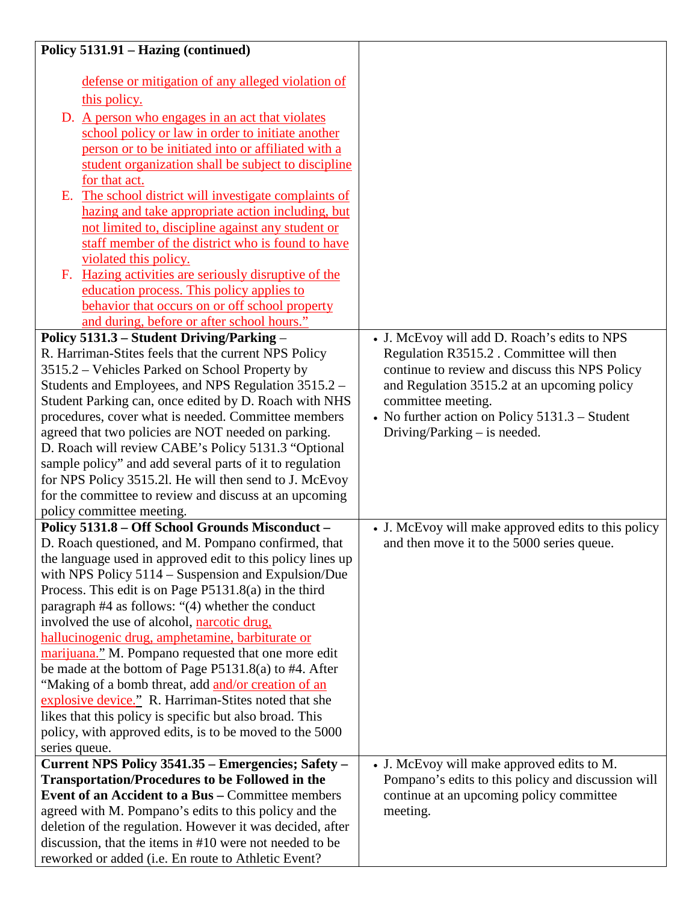| Policy 5131.91 - Hazing (continued)                                                                                                                                                                                                                                                                                                                                                                                                                                                                                                                                                                                                                                                                                                                                                                                                                                          |                                                                                                                                                                                                                                                                                                     |
|------------------------------------------------------------------------------------------------------------------------------------------------------------------------------------------------------------------------------------------------------------------------------------------------------------------------------------------------------------------------------------------------------------------------------------------------------------------------------------------------------------------------------------------------------------------------------------------------------------------------------------------------------------------------------------------------------------------------------------------------------------------------------------------------------------------------------------------------------------------------------|-----------------------------------------------------------------------------------------------------------------------------------------------------------------------------------------------------------------------------------------------------------------------------------------------------|
| defense or mitigation of any alleged violation of<br>this policy.<br>D. A person who engages in an act that violates<br>school policy or law in order to initiate another<br>person or to be initiated into or affiliated with a<br>student organization shall be subject to discipline<br>for that act.<br>The school district will investigate complaints of<br>Е.<br>hazing and take appropriate action including, but<br>not limited to, discipline against any student or<br>staff member of the district who is found to have<br>violated this policy.<br>F. Hazing activities are seriously disruptive of the<br>education process. This policy applies to<br>behavior that occurs on or off school property<br>and during, before or after school hours."                                                                                                            |                                                                                                                                                                                                                                                                                                     |
| Policy 5131.3 - Student Driving/Parking -<br>R. Harriman-Stites feels that the current NPS Policy<br>3515.2 – Vehicles Parked on School Property by<br>Students and Employees, and NPS Regulation 3515.2 -<br>Student Parking can, once edited by D. Roach with NHS<br>procedures, cover what is needed. Committee members<br>agreed that two policies are NOT needed on parking.<br>D. Roach will review CABE's Policy 5131.3 "Optional<br>sample policy" and add several parts of it to regulation<br>for NPS Policy 3515.2l. He will then send to J. McEvoy<br>for the committee to review and discuss at an upcoming<br>policy committee meeting.                                                                                                                                                                                                                        | • J. McEvoy will add D. Roach's edits to NPS<br>Regulation R3515.2 . Committee will then<br>continue to review and discuss this NPS Policy<br>and Regulation 3515.2 at an upcoming policy<br>committee meeting.<br>• No further action on Policy 5131.3 - Student<br>Driving/Parking $-$ is needed. |
| Policy 5131.8 - Off School Grounds Misconduct -<br>D. Roach questioned, and M. Pompano confirmed, that<br>the language used in approved edit to this policy lines up<br>with NPS Policy $5114 -$ Suspension and Expulsion/Due<br>Process. This edit is on Page P5131.8(a) in the third<br>paragraph #4 as follows: "(4) whether the conduct<br>involved the use of alcohol, narcotic drug,<br>hallucinogenic drug, amphetamine, barbiturate or<br>marijuana." M. Pompano requested that one more edit<br>be made at the bottom of Page $P5131.8(a)$ to #4. After<br>"Making of a bomb threat, add and/or creation of an<br>explosive device." R. Harriman-Stites noted that she<br>likes that this policy is specific but also broad. This<br>policy, with approved edits, is to be moved to the 5000<br>series queue.<br>Current NPS Policy 3541.35 - Emergencies; Safety - | • J. McEvoy will make approved edits to this policy<br>and then move it to the 5000 series queue.<br>• J. McEvoy will make approved edits to M.                                                                                                                                                     |
| <b>Transportation/Procedures to be Followed in the</b><br><b>Event of an Accident to a Bus - Committee members</b><br>agreed with M. Pompano's edits to this policy and the<br>deletion of the regulation. However it was decided, after<br>discussion, that the items in #10 were not needed to be<br>reworked or added (i.e. En route to Athletic Event?                                                                                                                                                                                                                                                                                                                                                                                                                                                                                                                   | Pompano's edits to this policy and discussion will<br>continue at an upcoming policy committee<br>meeting.                                                                                                                                                                                          |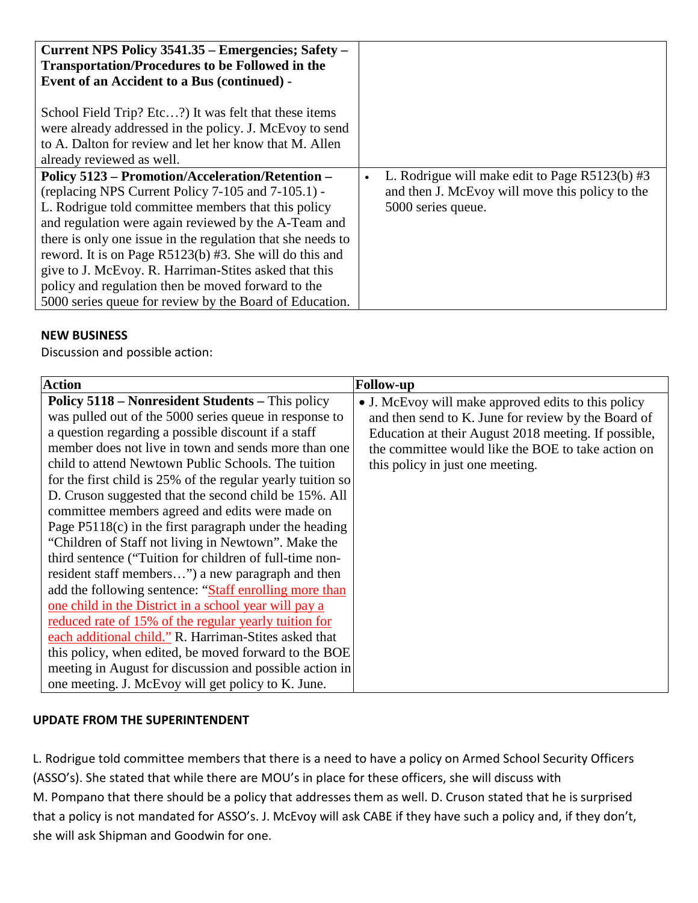| Current NPS Policy 3541.35 – Emergencies; Safety –<br><b>Transportation/Procedures to be Followed in the</b>                                                                                                                                                                                                                                                                                                                                                                                                                                                                                                                                                                                                                                |                                                                                                                           |
|---------------------------------------------------------------------------------------------------------------------------------------------------------------------------------------------------------------------------------------------------------------------------------------------------------------------------------------------------------------------------------------------------------------------------------------------------------------------------------------------------------------------------------------------------------------------------------------------------------------------------------------------------------------------------------------------------------------------------------------------|---------------------------------------------------------------------------------------------------------------------------|
| Event of an Accident to a Bus (continued) -                                                                                                                                                                                                                                                                                                                                                                                                                                                                                                                                                                                                                                                                                                 |                                                                                                                           |
| School Field Trip? Etc?) It was felt that these items<br>were already addressed in the policy. J. McEvoy to send<br>to A. Dalton for review and let her know that M. Allen<br>already reviewed as well.<br><b>Policy 5123 – Promotion/Acceleration/Retention –</b><br>(replacing NPS Current Policy 7-105 and 7-105.1) -<br>L. Rodrigue told committee members that this policy<br>and regulation were again reviewed by the A-Team and<br>there is only one issue in the regulation that she needs to<br>reword. It is on Page R5123(b) #3. She will do this and<br>give to J. McEvoy. R. Harriman-Stites asked that this<br>policy and regulation then be moved forward to the<br>5000 series queue for review by the Board of Education. | L. Rodrigue will make edit to Page $R5123(b)$ #3<br>and then J. McEvoy will move this policy to the<br>5000 series queue. |

## **NEW BUSINESS**

Discussion and possible action:

| <b>Action</b>                                                                                                                                                                                                                                                                                                                                                                                                                                                      | <b>Follow-up</b>                                                                                                                                                                                                                                             |
|--------------------------------------------------------------------------------------------------------------------------------------------------------------------------------------------------------------------------------------------------------------------------------------------------------------------------------------------------------------------------------------------------------------------------------------------------------------------|--------------------------------------------------------------------------------------------------------------------------------------------------------------------------------------------------------------------------------------------------------------|
| <b>Policy 5118 – Nonresident Students – This policy</b><br>was pulled out of the 5000 series queue in response to<br>a question regarding a possible discount if a staff<br>member does not live in town and sends more than one<br>child to attend Newtown Public Schools. The tuition<br>for the first child is 25% of the regular yearly tuition so<br>D. Cruson suggested that the second child be 15%. All<br>committee members agreed and edits were made on | • J. McEvoy will make approved edits to this policy<br>and then send to K. June for review by the Board of<br>Education at their August 2018 meeting. If possible,<br>the committee would like the BOE to take action on<br>this policy in just one meeting. |
| Page $P5118(c)$ in the first paragraph under the heading<br>"Children of Staff not living in Newtown". Make the<br>third sentence ("Tuition for children of full-time non-<br>resident staff members") a new paragraph and then                                                                                                                                                                                                                                    |                                                                                                                                                                                                                                                              |
| add the following sentence: "Staff enrolling more than<br>one child in the District in a school year will pay a<br>reduced rate of 15% of the regular yearly tuition for<br>each additional child." R. Harriman-Stites asked that                                                                                                                                                                                                                                  |                                                                                                                                                                                                                                                              |
| this policy, when edited, be moved forward to the BOE<br>meeting in August for discussion and possible action in<br>one meeting. J. McEvoy will get policy to K. June.                                                                                                                                                                                                                                                                                             |                                                                                                                                                                                                                                                              |

# **UPDATE FROM THE SUPERINTENDENT**

L. Rodrigue told committee members that there is a need to have a policy on Armed School Security Officers (ASSO's). She stated that while there are MOU's in place for these officers, she will discuss with M. Pompano that there should be a policy that addresses them as well. D. Cruson stated that he is surprised that a policy is not mandated for ASSO's. J. McEvoy will ask CABE if they have such a policy and, if they don't, she will ask Shipman and Goodwin for one.